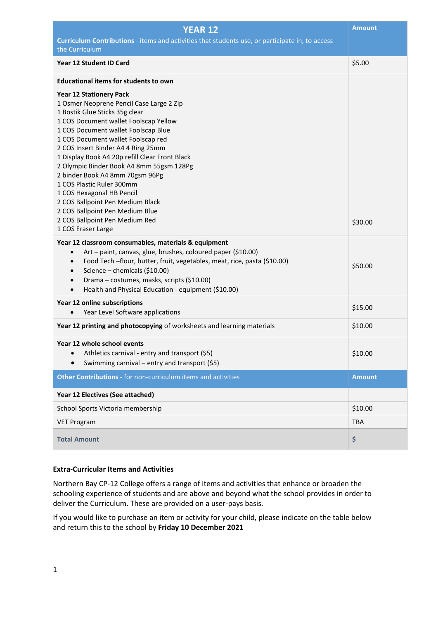| <b>YEAR 12</b>                                                                                                                                                                                                                                                                                                                                                                                                                                                                                                                                                               | <b>Amount</b> |
|------------------------------------------------------------------------------------------------------------------------------------------------------------------------------------------------------------------------------------------------------------------------------------------------------------------------------------------------------------------------------------------------------------------------------------------------------------------------------------------------------------------------------------------------------------------------------|---------------|
| Curriculum Contributions - items and activities that students use, or participate in, to access<br>the Curriculum                                                                                                                                                                                                                                                                                                                                                                                                                                                            |               |
| <b>Year 12 Student ID Card</b>                                                                                                                                                                                                                                                                                                                                                                                                                                                                                                                                               | \$5.00        |
| <b>Educational items for students to own</b>                                                                                                                                                                                                                                                                                                                                                                                                                                                                                                                                 |               |
| <b>Year 12 Stationery Pack</b><br>1 Osmer Neoprene Pencil Case Large 2 Zip<br>1 Bostik Glue Sticks 35g clear<br>1 COS Document wallet Foolscap Yellow<br>1 COS Document wallet Foolscap Blue<br>1 COS Document wallet Foolscap red<br>2 COS Insert Binder A4 4 Ring 25mm<br>1 Display Book A4 20p refill Clear Front Black<br>2 Olympic Binder Book A4 8mm 55gsm 128Pg<br>2 binder Book A4 8mm 70gsm 96Pg<br>1 COS Plastic Ruler 300mm<br>1 COS Hexagonal HB Pencil<br>2 COS Ballpoint Pen Medium Black<br>2 COS Ballpoint Pen Medium Blue<br>2 COS Ballpoint Pen Medium Red |               |
| 1 COS Eraser Large                                                                                                                                                                                                                                                                                                                                                                                                                                                                                                                                                           | \$30.00       |
| Year 12 classroom consumables, materials & equipment<br>Art - paint, canvas, glue, brushes, coloured paper (\$10.00)<br>$\bullet$<br>Food Tech-flour, butter, fruit, vegetables, meat, rice, pasta (\$10.00)<br>Science - chemicals (\$10.00)<br>$\bullet$<br>Drama - costumes, masks, scripts (\$10.00)<br>Health and Physical Education - equipment (\$10.00)<br>$\bullet$                                                                                                                                                                                                 | \$50.00       |
| Year 12 online subscriptions<br>Year Level Software applications<br>$\bullet$                                                                                                                                                                                                                                                                                                                                                                                                                                                                                                | \$15.00       |
| Year 12 printing and photocopying of worksheets and learning materials                                                                                                                                                                                                                                                                                                                                                                                                                                                                                                       | \$10.00       |
| Year 12 whole school events<br>Athletics carnival - entry and transport (\$5)<br>Swimming carnival – entry and transport (\$5)                                                                                                                                                                                                                                                                                                                                                                                                                                               | \$10.00       |
| Other Contributions - for non-curriculum items and activities                                                                                                                                                                                                                                                                                                                                                                                                                                                                                                                | <b>Amount</b> |
| Year 12 Electives (See attached)                                                                                                                                                                                                                                                                                                                                                                                                                                                                                                                                             |               |
| School Sports Victoria membership                                                                                                                                                                                                                                                                                                                                                                                                                                                                                                                                            | \$10.00       |
| <b>VET Program</b>                                                                                                                                                                                                                                                                                                                                                                                                                                                                                                                                                           | <b>TBA</b>    |
| <b>Total Amount</b>                                                                                                                                                                                                                                                                                                                                                                                                                                                                                                                                                          | \$            |

## **Extra-Curricular Items and Activities**

Northern Bay CP-12 College offers a range of items and activities that enhance or broaden the schooling experience of students and are above and beyond what the school provides in order to deliver the Curriculum. These are provided on a user-pays basis.

If you would like to purchase an item or activity for your child, please indicate on the table below and return this to the school by **Friday 10 December 2021**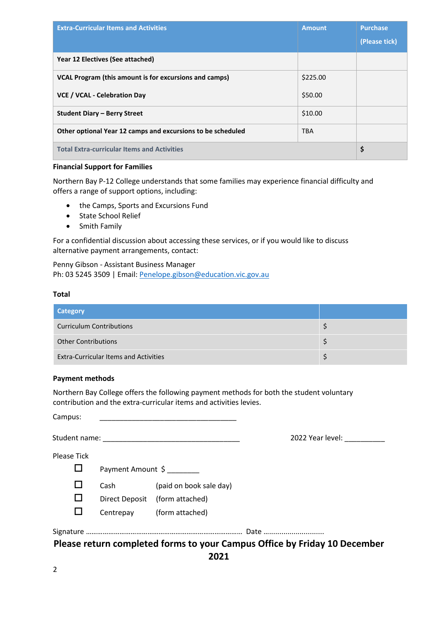| <b>Extra-Curricular Items and Activities</b>                | <b>Amount</b> | <b>Purchase</b> |
|-------------------------------------------------------------|---------------|-----------------|
|                                                             |               | (Please tick)   |
| Year 12 Electives (See attached)                            |               |                 |
| VCAL Program (this amount is for excursions and camps)      | \$225.00      |                 |
| <b>VCE / VCAL - Celebration Day</b>                         | \$50.00       |                 |
| <b>Student Diary – Berry Street</b>                         | \$10.00       |                 |
| Other optional Year 12 camps and excursions to be scheduled | <b>TBA</b>    |                 |
| <b>Total Extra-curricular Items and Activities</b>          |               | \$              |

## **Financial Support for Families**

Northern Bay P-12 College understands that some families may experience financial difficulty and offers a range of support options, including:

- the Camps, Sports and Excursions Fund
- State School Relief
- Smith Family

For a confidential discussion about accessing these services, or if you would like to discuss alternative payment arrangements, contact:

Penny Gibson - Assistant Business Manager Ph: 03 5245 3509 | Email[: Penelope.gibson@education.vic.gov.au](mailto:Penelope.gibson@eduacation.vic.gov.au)

#### **Total**

| <b>Category</b>                              |  |
|----------------------------------------------|--|
| <b>Curriculum Contributions</b>              |  |
| <b>Other Contributions</b>                   |  |
| <b>Extra-Curricular Items and Activities</b> |  |

# **Payment methods**

Northern Bay College offers the following payment methods for both the student voluntary contribution and the extra-curricular items and activities levies.

| Student name: 1988 |                   |                                | 2022 Year level:                                                          |
|--------------------|-------------------|--------------------------------|---------------------------------------------------------------------------|
| <b>Please Tick</b> |                   |                                |                                                                           |
|                    | Payment Amount \$ |                                |                                                                           |
|                    | Cash              | (paid on book sale day)        |                                                                           |
|                    |                   | Direct Deposit (form attached) |                                                                           |
|                    |                   | Centrepay (form attached)      |                                                                           |
|                    |                   |                                |                                                                           |
|                    |                   |                                | Please return completed forms to your Campus Office by Friday 10 December |